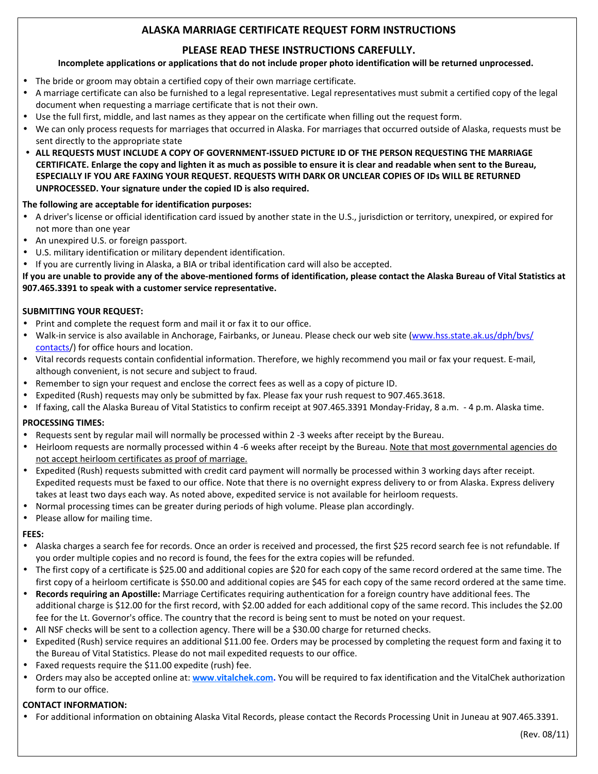# **ALASKA MARRIAGE CERTIFICATE REQUEST FORM INSTRUCTIONS**

# **PLEASE READ THESE INSTRUCTIONS CAREFULLY.**

## **Incomplete applications or applications that do not include proper photo identification will be returned unprocessed.**

- The bride or groom may obtain a certified copy of their own marriage certificate.
- A marriage certificate can also be furnished to a legal representative. Legal representatives must submit a certified copy of the legal document when requesting a marriage certificate that is not their own.
- Use the full first, middle, and last names as they appear on the certificate when filling out the request form.
- We can only process requests for marriages that occurred in Alaska. For marriages that occurred outside of Alaska, requests must be sent directly to the appropriate state
- **ALL REQUESTS MUST INCLUDE A COPY OF GOVERNMENT-ISSUED PICTURE ID OF THE PERSON REQUESTING THE MARRIAGE CERTIFICATE. Enlarge the copy and lighten it as much as possible to ensure it is clear and readable when sent to the Bureau, ESPECIALLY IF YOU ARE FAXING YOUR REQUEST. REQUESTS WITH DARK OR UNCLEAR COPIES OF IDs WILL BE RETURNED UNPROCESSED. Your signature under the copied ID is also required.**

## **The following are acceptable for identification purposes:**

- A driver's license or official identification card issued by another state in the U.S., jurisdiction or territory, unexpired, or expired for not more than one year
- An unexpired U.S. or foreign passport.
- U.S. military identification or military dependent identification.
- If you are currently living in Alaska, a BIA or tribal identification card will also be accepted.

**If you are unable to provide any of the above-mentioned forms of identification, please contact the Alaska Bureau of Vital Statistics at 907.465.3391 to speak with a customer service representative.** 

## **SUBMITTING YOUR REQUEST:**

- Print and complete the request form and mail it or fax it to our office.
- Walk-in service is also available in Anchorage, Fairbanks, or Juneau. Please check our web site ([www.hss.state.ak.us/dph/bvs/](http://www.hss.state.ak.us/dph/bvs/contacts) [contacts](http://www.hss.state.ak.us/dph/bvs/contacts)/) for office hours and location.
- Vital records requests contain confidential information. Therefore, we highly recommend you mail or fax your request. E-mail, although convenient, is not secure and subject to fraud.
- Remember to sign your request and enclose the correct fees as well as a copy of picture ID.
- Expedited (Rush) requests may only be submitted by fax. Please fax your rush request to 907.465.3618.
- If faxing, call the Alaska Bureau of Vital Statistics to confirm receipt at 907.465.3391 Monday-Friday, 8 a.m. 4 p.m. Alaska time.

#### **PROCESSING TIMES:**

- Requests sent by regular mail will normally be processed within 2 -3 weeks after receipt by the Bureau.
- Heirloom requests are normally processed within 4 -6 weeks after receipt by the Bureau. Note that most governmental agencies do not accept heirloom certificates as proof of marriage.
- Expedited (Rush) requests submitted with credit card payment will normally be processed within 3 working days after receipt. Expedited requests must be faxed to our office. Note that there is no overnight express delivery to or from Alaska. Express delivery takes at least two days each way. As noted above, expedited service is not available for heirloom requests.
- Normal processing times can be greater during periods of high volume. Please plan accordingly.
- Please allow for mailing time.

#### **FEES:**

- Alaska charges a search fee for records. Once an order is received and processed, the first \$25 record search fee is not refundable. If you order multiple copies and no record is found, the fees for the extra copies will be refunded.
- The first copy of a certificate is \$25.00 and additional copies are \$20 for each copy of the same record ordered at the same time. The first copy of a heirloom certificate is \$50.00 and additional copies are \$45 for each copy of the same record ordered at the same time.
- **Records requiring an Apostille:** Marriage Certificates requiring authentication for a foreign country have additional fees. The additional charge is \$12.00 for the first record, with \$2.00 added for each additional copy of the same record. This includes the \$2.00 fee for the Lt. Governor's office. The country that the record is being sent to must be noted on your request.
- All NSF checks will be sent to a collection agency. There will be a \$30.00 charge for returned checks.
- Expedited (Rush) service requires an additional \$11.00 fee. Orders may be processed by completing the request form and faxing it to the Bureau of Vital Statistics. Please do not mail expedited requests to our office.
- Faxed requests require the \$11.00 expedite (rush) fee.
- Orders may also be accepted online at: **www**.**vitalchek.com.** You will be required to fax identification and the VitalChek authorization form to our office.

## **CONTACT INFORMATION:**

• For additional information on obtaining Alaska Vital Records, please contact the Records Processing Unit in Juneau at 907.465.3391.